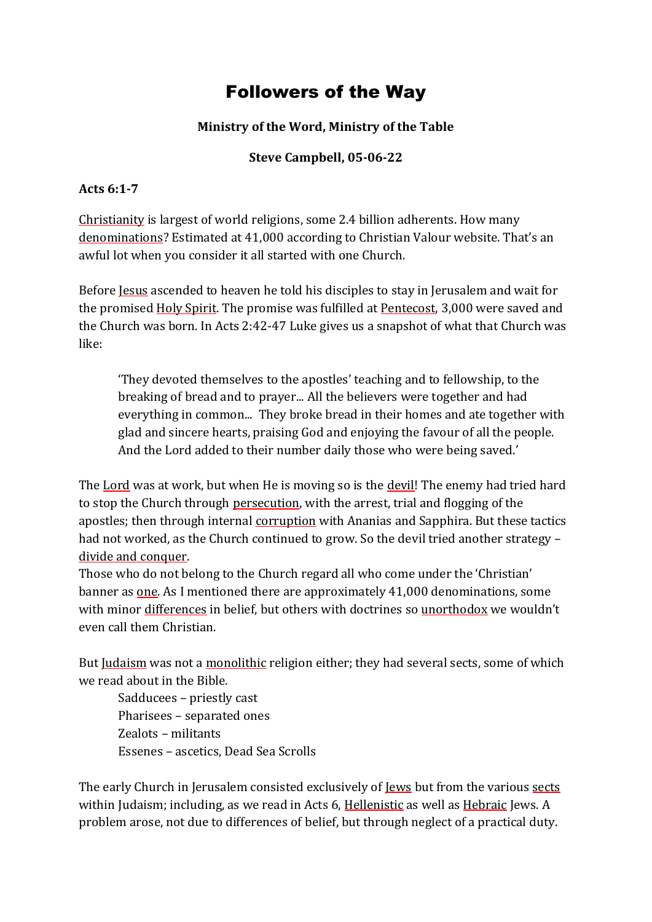## Followers of the Way

## **Ministry of the Word, Ministry of the Table**

## **Steve Campbell, 05-06-22**

## **Acts 6:1-7**

Christianity is largest of world religions, some 2.4 billion adherents. How many denominations? Estimated at 41,000 according to Christian Valour website. That's an awful lot when you consider it all started with one Church.

Before Jesus ascended to heaven he told his disciples to stay in Jerusalem and wait for the promised Holy Spirit. The promise was fulfilled at Pentecost, 3,000 were saved and the Church was born. In Acts 2:42-47 Luke gives us a snapshot of what that Church was like:

'They devoted themselves to the apostles' teaching and to fellowship, to the breaking of bread and to prayer... All the believers were together and had everything in common... They broke bread in their homes and ate together with glad and sincere hearts, praising God and enjoying the favour of all the people. And the Lord added to their number daily those who were being saved.'

The Lord was at work, but when He is moving so is the devil! The enemy had tried hard to stop the Church through persecution, with the arrest, trial and flogging of the apostles; then through internal corruption with Ananias and Sapphira. But these tactics had not worked, as the Church continued to grow. So the devil tried another strategy divide and conquer.

Those who do not belong to the Church regard all who come under the 'Christian' banner as one. As I mentioned there are approximately 41,000 denominations, some with minor differences in belief, but others with doctrines so unorthodox we wouldn't even call them Christian.

But Judaism was not a monolithic religion either; they had several sects, some of which we read about in the Bible.

Sadducees – priestly cast Pharisees – separated ones Zealots – militants Essenes – ascetics, Dead Sea Scrolls

The early Church in Jerusalem consisted exclusively of Jews but from the various sects within Judaism; including, as we read in Acts 6, Hellenistic as well as Hebraic Jews. A problem arose, not due to differences of belief, but through neglect of a practical duty.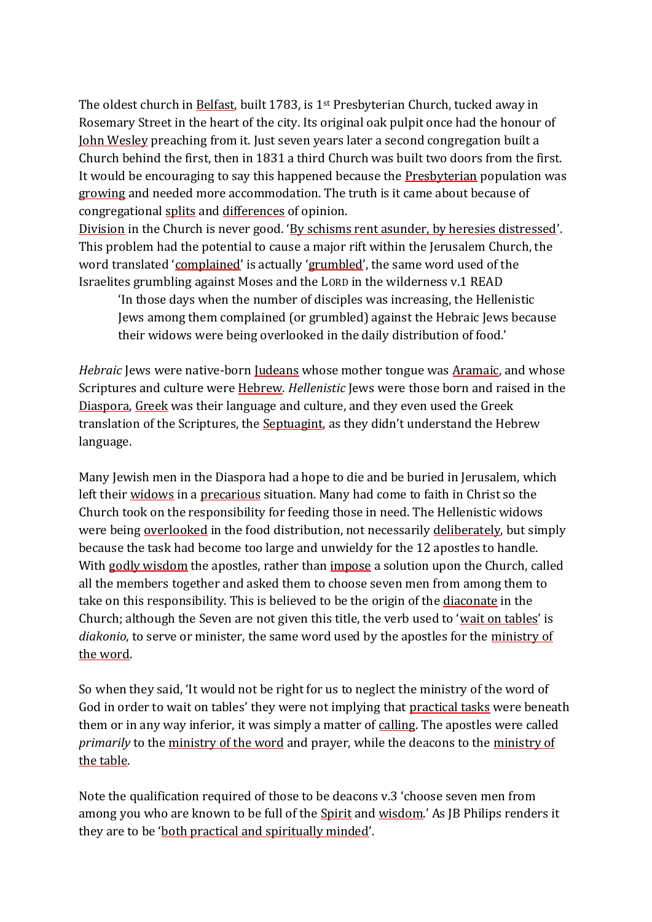The oldest church in Belfast, built 1783, is 1st Presbyterian Church, tucked away in Rosemary Street in the heart of the city. Its original oak pulpit once had the honour of John Wesley preaching from it. Just seven years later a second congregation built a Church behind the first, then in 1831 a third Church was built two doors from the first. It would be encouraging to say this happened because the Presbyterian population was growing and needed more accommodation. The truth is it came about because of congregational splits and differences of opinion.

Division in the Church is never good. 'By schisms rent asunder, by heresies distressed'. This problem had the potential to cause a major rift within the Jerusalem Church, the word translated 'complained' is actually 'grumbled', the same word used of the Israelites grumbling against Moses and the LORD in the wilderness v.1 READ

'In those days when the number of disciples was increasing, the Hellenistic Jews among them complained (or grumbled) against the Hebraic Jews because their widows were being overlooked in the daily distribution of food.'

*Hebraic* Jews were native-born Judeans whose mother tongue was Aramaic, and whose Scriptures and culture were Hebrew. *Hellenistic* Jews were those born and raised in the Diaspora, Greek was their language and culture, and they even used the Greek translation of the Scriptures, the Septuagint, as they didn't understand the Hebrew language.

Many Jewish men in the Diaspora had a hope to die and be buried in Jerusalem, which left their widows in a precarious situation. Many had come to faith in Christ so the Church took on the responsibility for feeding those in need. The Hellenistic widows were being overlooked in the food distribution, not necessarily deliberately, but simply because the task had become too large and unwieldy for the 12 apostles to handle. With godly wisdom the apostles, rather than impose a solution upon the Church, called all the members together and asked them to choose seven men from among them to take on this responsibility. This is believed to be the origin of the diaconate in the Church; although the Seven are not given this title, the verb used to 'wait on tables' is *diakonio*, to serve or minister, the same word used by the apostles for the ministry of the word.

So when they said, 'It would not be right for us to neglect the ministry of the word of God in order to wait on tables' they were not implying that practical tasks were beneath them or in any way inferior, it was simply a matter of calling. The apostles were called *primarily* to the ministry of the word and prayer, while the deacons to the ministry of the table.

Note the qualification required of those to be deacons v.3 'choose seven men from among you who are known to be full of the Spirit and wisdom.' As JB Philips renders it they are to be 'both practical and spiritually minded'.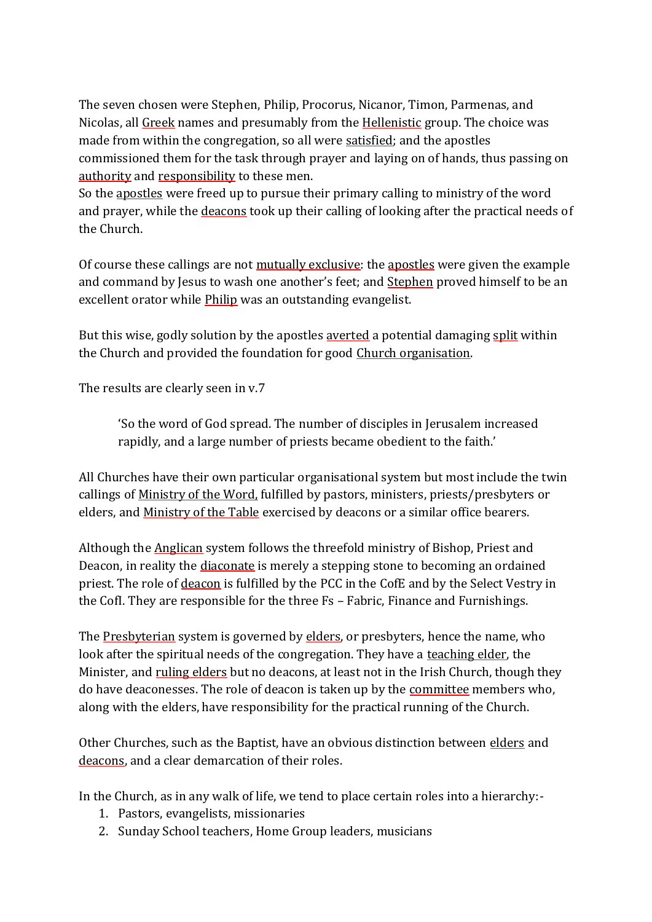The seven chosen were Stephen, Philip, Procorus, Nicanor, Timon, Parmenas, and Nicolas, all Greek names and presumably from the Hellenistic group. The choice was made from within the congregation, so all were satisfied; and the apostles commissioned them for the task through prayer and laying on of hands, thus passing on authority and responsibility to these men.

So the apostles were freed up to pursue their primary calling to ministry of the word and prayer, while the deacons took up their calling of looking after the practical needs of the Church.

Of course these callings are not mutually exclusive: the apostles were given the example and command by Jesus to wash one another's feet; and Stephen proved himself to be an excellent orator while *Philip* was an outstanding evangelist.

But this wise, godly solution by the apostles averted a potential damaging split within the Church and provided the foundation for good Church organisation.

The results are clearly seen in v.7

'So the word of God spread. The number of disciples in Jerusalem increased rapidly, and a large number of priests became obedient to the faith.'

All Churches have their own particular organisational system but most include the twin callings of Ministry of the Word, fulfilled by pastors, ministers, priests/presbyters or elders, and Ministry of the Table exercised by deacons or a similar office bearers.

Although the Anglican system follows the threefold ministry of Bishop, Priest and Deacon, in reality the diaconate is merely a stepping stone to becoming an ordained priest. The role of deacon is fulfilled by the PCC in the CofE and by the Select Vestry in the CofI. They are responsible for the three Fs – Fabric, Finance and Furnishings.

The Presbyterian system is governed by elders, or presbyters, hence the name, who look after the spiritual needs of the congregation. They have a teaching elder, the Minister, and ruling elders but no deacons, at least not in the Irish Church, though they do have deaconesses. The role of deacon is taken up by the committee members who, along with the elders, have responsibility for the practical running of the Church.

Other Churches, such as the Baptist, have an obvious distinction between elders and deacons, and a clear demarcation of their roles.

In the Church, as in any walk of life, we tend to place certain roles into a hierarchy:-

- 1. Pastors, evangelists, missionaries
- 2. Sunday School teachers, Home Group leaders, musicians